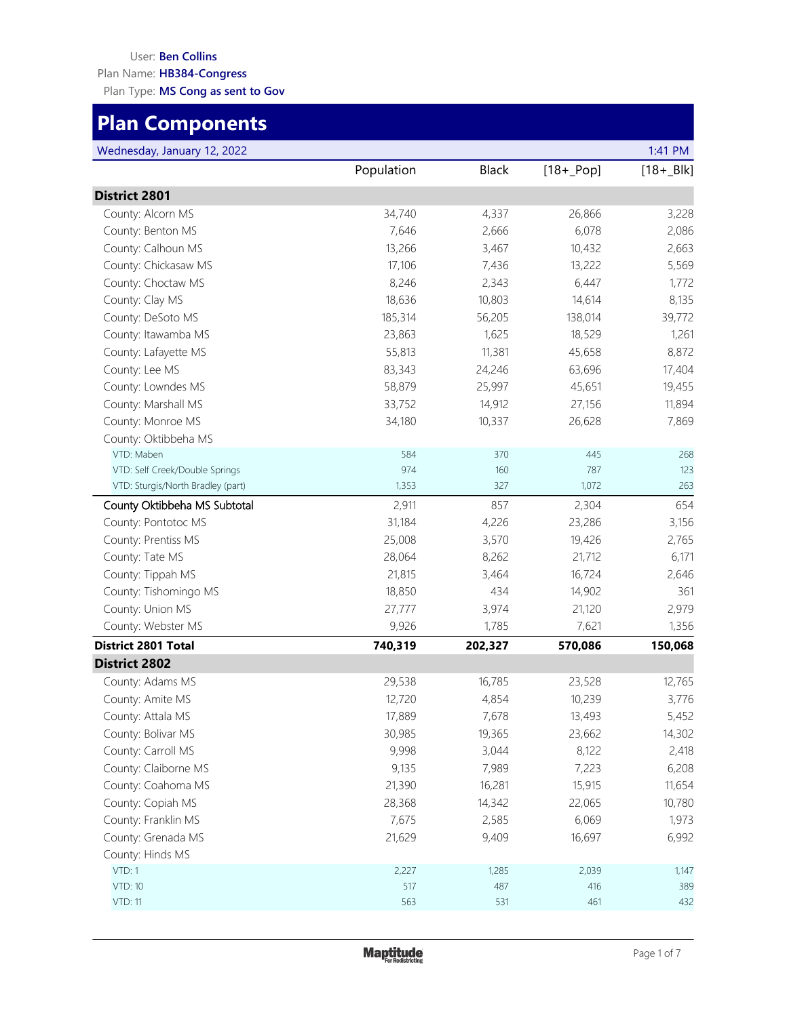#### User: **Ben Collins**

Plan Name: **HB384-Congress**

Plan Type: **MS Cong as sent to Gov**

# **Plan Components**

| Wednesday, January 12, 2022 |  |  |
|-----------------------------|--|--|
|-----------------------------|--|--|

| Wednesday, January 12, 2022       |            |              |              | 1:41 PM    |
|-----------------------------------|------------|--------------|--------------|------------|
|                                   | Population | <b>Black</b> | $[18 + Pop]$ | $[18 + B]$ |
| <b>District 2801</b>              |            |              |              |            |
| County: Alcorn MS                 | 34,740     | 4,337        | 26,866       | 3,228      |
| County: Benton MS                 | 7,646      | 2,666        | 6,078        | 2,086      |
| County: Calhoun MS                | 13,266     | 3,467        | 10,432       | 2,663      |
| County: Chickasaw MS              | 17,106     | 7,436        | 13,222       | 5,569      |
| County: Choctaw MS                | 8,246      | 2,343        | 6,447        | 1,772      |
| County: Clay MS                   | 18,636     | 10,803       | 14,614       | 8,135      |
| County: DeSoto MS                 | 185,314    | 56,205       | 138,014      | 39,772     |
| County: Itawamba MS               | 23,863     | 1,625        | 18,529       | 1,261      |
| County: Lafayette MS              | 55,813     | 11,381       | 45,658       | 8,872      |
| County: Lee MS                    | 83,343     | 24,246       | 63,696       | 17,404     |
| County: Lowndes MS                | 58,879     | 25,997       | 45,651       | 19,455     |
| County: Marshall MS               | 33,752     | 14,912       | 27,156       | 11,894     |
| County: Monroe MS                 | 34,180     | 10,337       | 26,628       | 7,869      |
| County: Oktibbeha MS              |            |              |              |            |
| VTD: Maben                        | 584        | 370          | 445          | 268        |
| VTD: Self Creek/Double Springs    | 974        | 160          | 787          | 123        |
| VTD: Sturgis/North Bradley (part) | 1,353      | 327          | 1,072        | 263        |
| County Oktibbeha MS Subtotal      | 2,911      | 857          | 2,304        | 654        |
| County: Pontotoc MS               | 31,184     | 4,226        | 23,286       | 3,156      |
| County: Prentiss MS               | 25,008     | 3,570        | 19,426       | 2,765      |
| County: Tate MS                   | 28,064     | 8,262        | 21,712       | 6,171      |
| County: Tippah MS                 | 21,815     | 3,464        | 16,724       | 2,646      |
| County: Tishomingo MS             | 18,850     | 434          | 14,902       | 361        |
| County: Union MS                  | 27,777     | 3,974        | 21,120       | 2,979      |
| County: Webster MS                | 9,926      | 1,785        | 7,621        | 1,356      |
| <b>District 2801 Total</b>        | 740,319    | 202,327      | 570,086      | 150,068    |
| <b>District 2802</b>              |            |              |              |            |
| County: Adams MS                  | 29,538     | 16,785       | 23,528       | 12,765     |
| County: Amite MS                  | 12,720     | 4,854        | 10,239       | 3,776      |
| County: Attala MS                 | 17,889     | 7,678        | 13,493       | 5,452      |
| County: Bolivar MS                | 30,985     | 19,365       | 23,662       | 14,302     |
| County: Carroll MS                | 9,998      | 3,044        | 8,122        | 2,418      |
| County: Claiborne MS              | 9,135      | 7,989        | 7,223        | 6,208      |
| County: Coahoma MS                | 21,390     | 16,281       | 15,915       | 11,654     |
| County: Copiah MS                 | 28,368     | 14,342       | 22,065       | 10,780     |
| County: Franklin MS               | 7,675      | 2,585        | 6,069        | 1,973      |
| County: Grenada MS                | 21,629     | 9,409        | 16,697       | 6,992      |
| County: Hinds MS                  |            |              |              |            |
| VTD: 1                            | 2,227      | 1,285        | 2,039        | 1,147      |
| <b>VTD: 10</b>                    | 517        | 487          | 416          | 389        |
| <b>VTD: 11</b>                    | 563        | 531          | 461          | 432        |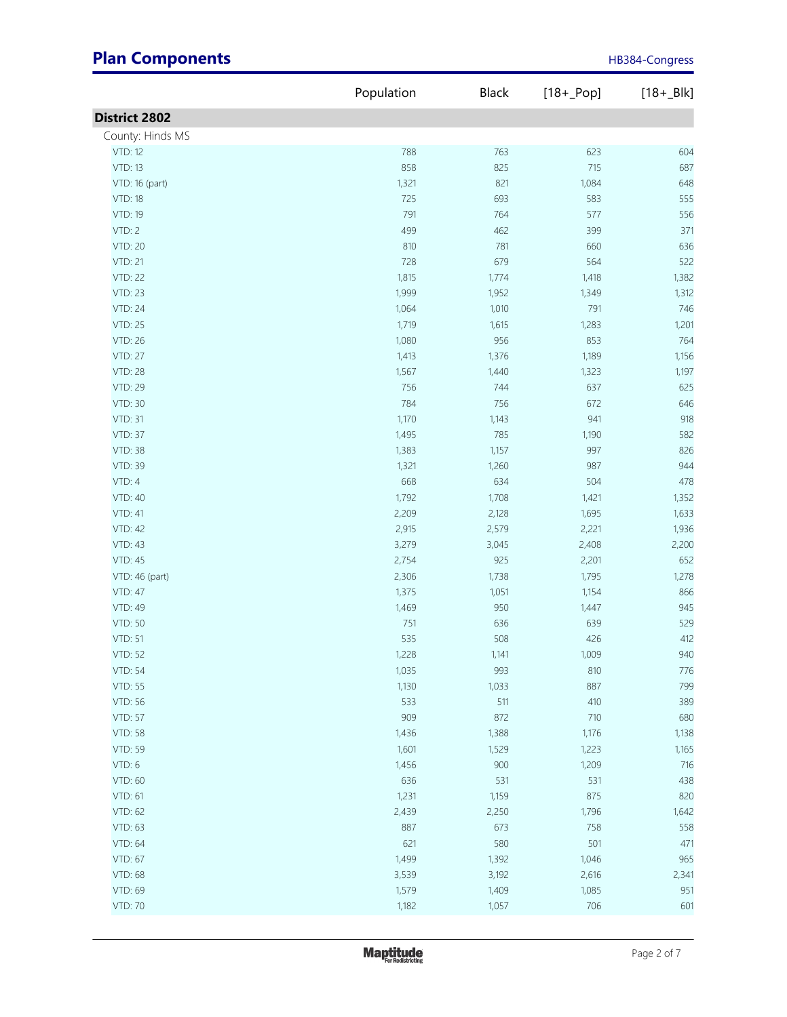|                      | Population | Black | $[18 + Pop]$ | $[18 + B]$ |
|----------------------|------------|-------|--------------|------------|
| <b>District 2802</b> |            |       |              |            |
| County: Hinds MS     |            |       |              |            |
| <b>VTD: 12</b>       | 788        | 763   | 623          | 604        |
| <b>VTD: 13</b>       | 858        | 825   | 715          | 687        |
| VTD: 16 (part)       | 1,321      | 821   | 1,084        | 648        |
| <b>VTD: 18</b>       | 725        | 693   | 583          | 555        |
| VTD: 19              | 791        | 764   | 577          | 556        |
| VTD: 2               | 499        | 462   | 399          | 371        |
| VTD: 20              | 810        | 781   | 660          | 636        |
| <b>VTD: 21</b>       | 728        | 679   | 564          | 522        |
| <b>VTD: 22</b>       | 1,815      | 1,774 | 1,418        | 1,382      |
| <b>VTD: 23</b>       | 1,999      | 1,952 | 1,349        | 1,312      |
| <b>VTD: 24</b>       | 1,064      | 1,010 | 791          | 746        |
| <b>VTD: 25</b>       | 1,719      | 1,615 | 1,283        | 1,201      |
| <b>VTD: 26</b>       | 1,080      | 956   | 853          | 764        |
| <b>VTD: 27</b>       | 1,413      | 1,376 | 1,189        | 1,156      |
|                      |            |       |              |            |
| <b>VTD: 28</b>       | 1,567      | 1,440 | 1,323        | 1,197      |
| VTD: 29              | 756        | 744   | 637          | 625        |
| VTD: 30              | 784        | 756   | 672          | 646        |
| <b>VTD: 31</b>       | 1,170      | 1,143 | 941          | 918        |
| <b>VTD: 37</b>       | 1,495      | 785   | 1,190        | 582        |
| <b>VTD: 38</b>       | 1,383      | 1,157 | 997          | 826        |
| VTD: 39              | 1,321      | 1,260 | 987          | 944        |
| VTD: 4               | 668        | 634   | 504          | 478        |
| VTD: 40              | 1,792      | 1,708 | 1,421        | 1,352      |
| <b>VTD: 41</b>       | 2,209      | 2,128 | 1,695        | 1,633      |
| VTD: 42              | 2,915      | 2,579 | 2,221        | 1,936      |
| VTD: 43              | 3,279      | 3,045 | 2,408        | 2,200      |
| <b>VTD: 45</b>       | 2,754      | 925   | 2,201        | 652        |
| VTD: 46 (part)       | 2,306      | 1,738 | 1,795        | 1,278      |
| <b>VTD: 47</b>       | 1,375      | 1,051 | 1,154        | 866        |
| VTD: 49              | 1,469      | 950   | 1,447        | 945        |
| <b>VTD: 50</b>       | 751        | 636   | 639          | 529        |
| <b>VTD: 51</b>       | 535        | 508   | 426          | 412        |
| <b>VTD: 52</b>       | 1,228      | 1,141 | 1,009        | 940        |
| <b>VTD: 54</b>       | 1,035      | 993   | 810          | 776        |
| <b>VTD: 55</b>       | 1,130      | 1,033 | 887          | 799        |
| <b>VTD: 56</b>       | 533        | 511   | 410          | 389        |
| <b>VTD: 57</b>       | 909        | 872   | 710          | 680        |
| <b>VTD: 58</b>       | 1,436      | 1,388 | 1,176        | 1,138      |
| <b>VTD: 59</b>       | 1,601      | 1,529 | 1,223        | 1,165      |
| VTD: 6               | 1,456      | 900   | 1,209        | 716        |
| VTD: 60              | 636        | 531   | 531          | 438        |
| VTD: 61              | 1,231      | 1,159 | 875          | 820        |
| VTD: 62              | 2,439      | 2,250 | 1,796        | 1,642      |
| VTD: 63              | 887        | 673   | 758          | 558        |
| <b>VTD: 64</b>       | 621        | 580   | 501          | 471        |
| <b>VTD: 67</b>       | 1,499      | 1,392 | 1,046        | 965        |
| <b>VTD: 68</b>       | 3,539      | 3,192 | 2,616        | 2,341      |
| VTD: 69              | 1,579      | 1,409 | 1,085        | 951        |
| <b>VTD: 70</b>       | 1,182      | 1,057 | 706          | 601        |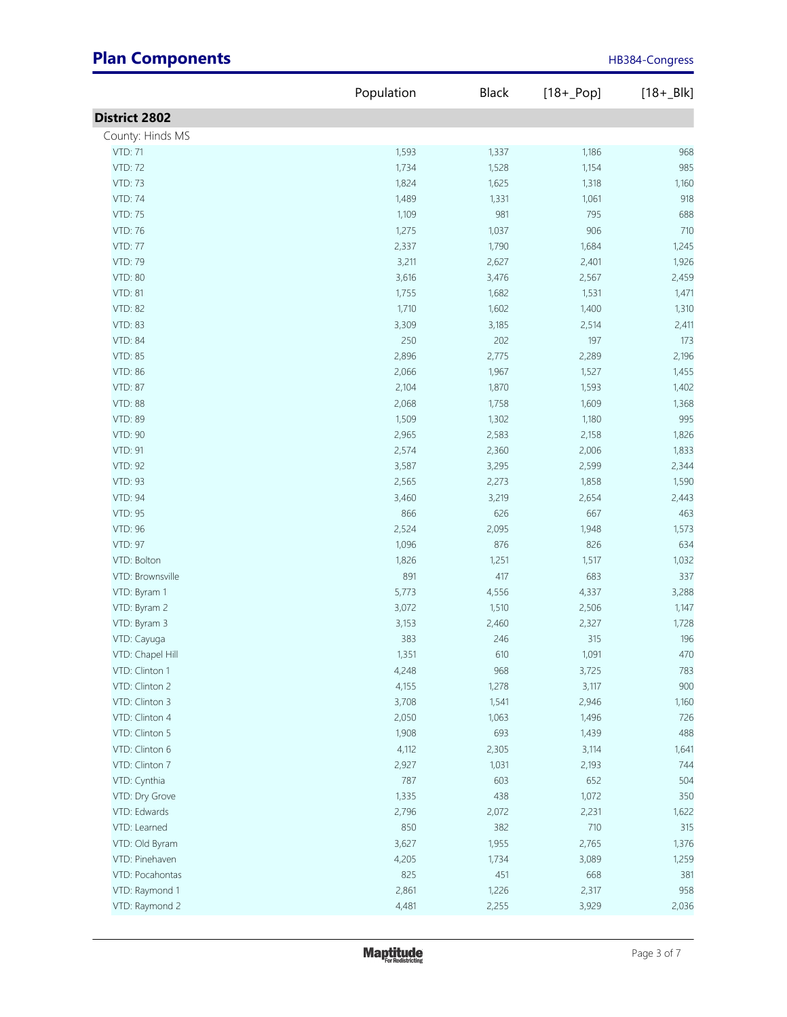|                      | Population | Black        | $[18 + Pop]$ | $[18 + Blk]$ |
|----------------------|------------|--------------|--------------|--------------|
| <b>District 2802</b> |            |              |              |              |
| County: Hinds MS     |            |              |              |              |
| <b>VTD: 71</b>       | 1,593      | 1,337        | 1,186        | 968          |
| <b>VTD: 72</b>       | 1,734      | 1,528        | 1,154        | 985          |
| <b>VTD: 73</b>       | 1,824      | 1,625        | 1,318        | 1,160        |
| <b>VTD: 74</b>       | 1,489      | 1,331        | 1,061        | 918          |
| <b>VTD: 75</b>       | 1,109      | 981          | 795          | 688          |
| VTD: 76              | 1,275      | 1,037        | 906          | 710          |
| <b>VTD: 77</b>       | 2,337      | 1,790        | 1,684        | 1,245        |
| VTD: 79              | 3,211      | 2,627        | 2,401        | 1,926        |
| <b>VTD: 80</b>       | 3,616      | 3,476        | 2,567        | 2,459        |
| <b>VTD: 81</b>       | 1,755      | 1,682        | 1,531        | 1,471        |
|                      |            |              |              |              |
| <b>VTD: 82</b>       | 1,710      | 1,602        | 1,400        | 1,310        |
| <b>VTD: 83</b>       | 3,309      | 3,185<br>202 | 2,514        | 2,411        |
| <b>VTD: 84</b>       | 250        |              | 197          | 173          |
| <b>VTD: 85</b>       | 2,896      | 2,775        | 2,289        | 2,196        |
| VTD: 86              | 2,066      | 1,967        | 1,527        | 1,455        |
| <b>VTD: 87</b>       | 2,104      | 1,870        | 1,593        | 1,402        |
| <b>VTD: 88</b>       | 2,068      | 1,758        | 1,609        | 1,368        |
| <b>VTD: 89</b>       | 1,509      | 1,302        | 1,180        | 995          |
| <b>VTD: 90</b>       | 2,965      | 2,583        | 2,158        | 1,826        |
| VTD: 91              | 2,574      | 2,360        | 2,006        | 1,833        |
| <b>VTD: 92</b>       | 3,587      | 3,295        | 2,599        | 2,344        |
| <b>VTD: 93</b>       | 2,565      | 2,273        | 1,858        | 1,590        |
| VTD: 94              | 3,460      | 3,219        | 2,654        | 2,443        |
| VTD: 95              | 866        | 626          | 667          | 463          |
| VTD: 96              | 2,524      | 2,095        | 1,948        | 1,573        |
| <b>VTD: 97</b>       | 1,096      | 876          | 826          | 634          |
| VTD: Bolton          | 1,826      | 1,251        | 1,517        | 1,032        |
| VTD: Brownsville     | 891        | 417          | 683          | 337          |
| VTD: Byram 1         | 5,773      | 4,556        | 4,337        | 3,288        |
| VTD: Byram 2         | 3,072      | 1,510        | 2,506        | 1,147        |
| VTD: Byram 3         | 3,153      | 2,460        | 2,327        | 1,728        |
| VTD: Cayuga          | 383        | 246          | 315          | 196          |
| VTD: Chapel Hill     | 1,351      | 610          | 1,091        | 470          |
| VTD: Clinton 1       | 4,248      | 968          | 3,725        | 783          |
| VTD: Clinton 2       | 4,155      | 1,278        | 3,117        | 900          |
| VTD: Clinton 3       | 3,708      | 1,541        | 2,946        | 1,160        |
| VTD: Clinton 4       | 2,050      | 1,063        | 1,496        | 726          |
| VTD: Clinton 5       | 1,908      | 693          | 1,439        | 488          |
| VTD: Clinton 6       | 4,112      | 2,305        | 3,114        | 1,641        |
| VTD: Clinton 7       | 2,927      | 1,031        | 2,193        | 744          |
| VTD: Cynthia         | 787        | 603          | 652          | 504          |
| VTD: Dry Grove       | 1,335      | 438          | 1,072        | 350          |
| VTD: Edwards         | 2,796      | 2,072        | 2,231        | 1,622        |
| VTD: Learned         | 850        | 382          | 710          | 315          |
| VTD: Old Byram       | 3,627      | 1,955        | 2,765        | 1,376        |
| VTD: Pinehaven       | 4,205      | 1,734        | 3,089        | 1,259        |
| VTD: Pocahontas      | 825        | 451          | 668          | 381          |
| VTD: Raymond 1       | 2,861      | 1,226        | 2,317        | 958          |
| VTD: Raymond 2       | 4,481      | 2,255        | 3,929        | 2,036        |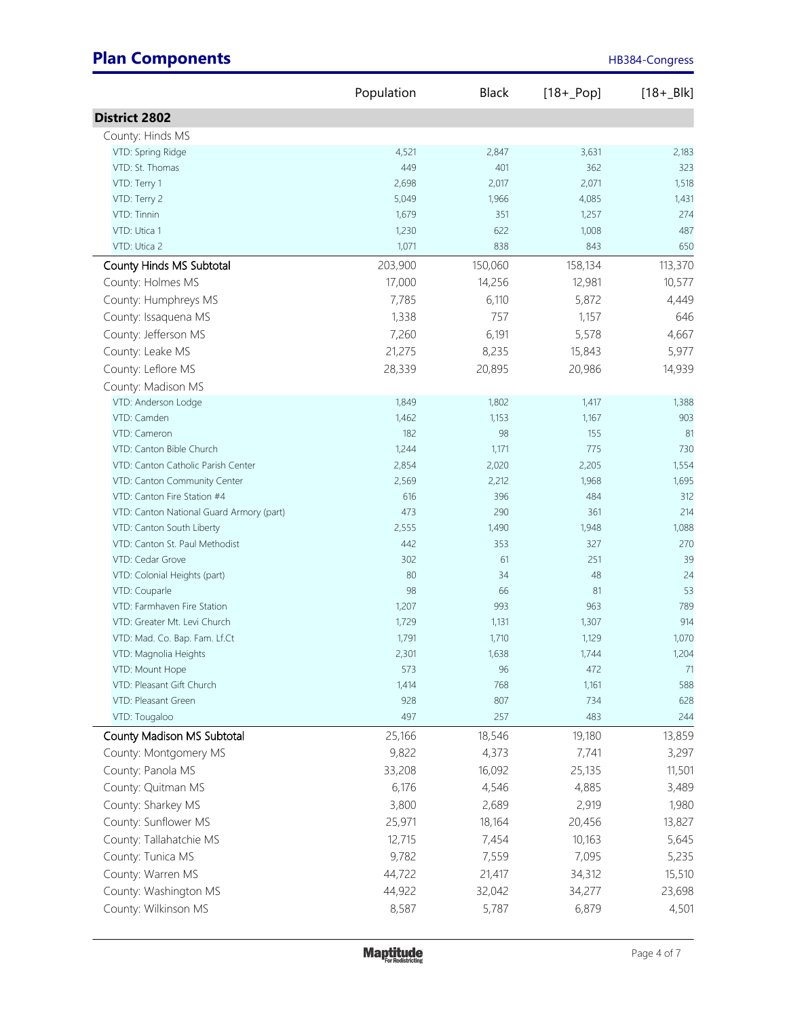|                                          | Population | <b>Black</b> | $[18 + Pop]$ | $[18 + B]$ |
|------------------------------------------|------------|--------------|--------------|------------|
| <b>District 2802</b>                     |            |              |              |            |
| County: Hinds MS                         |            |              |              |            |
| VTD: Spring Ridge                        | 4,521      | 2,847        | 3,631        | 2,183      |
| VTD: St. Thomas                          | 449        | 401          | 362          | 323        |
| VTD: Terry 1                             | 2,698      | 2,017        | 2,071        | 1,518      |
| VTD: Terry 2                             | 5,049      | 1,966        | 4,085        | 1,431      |
| VTD: Tinnin                              | 1,679      | 351          | 1,257        | 274        |
| VTD: Utica 1                             | 1,230      | 622          | 1,008        | 487        |
| VTD: Utica 2                             | 1,071      | 838          | 843          | 650        |
| County Hinds MS Subtotal                 | 203,900    | 150,060      | 158,134      | 113,370    |
| County: Holmes MS                        | 17,000     | 14,256       | 12,981       | 10,577     |
| County: Humphreys MS                     | 7,785      | 6,110        | 5,872        | 4,449      |
| County: Issaquena MS                     | 1,338      | 757          | 1,157        | 646        |
| County: Jefferson MS                     | 7,260      | 6,191        | 5,578        | 4,667      |
| County: Leake MS                         | 21,275     | 8,235        | 15,843       | 5,977      |
| County: Leflore MS                       | 28,339     | 20,895       | 20,986       | 14,939     |
| County: Madison MS                       |            |              |              |            |
| VTD: Anderson Lodge                      | 1,849      | 1,802        | 1,417        | 1,388      |
| VTD: Camden                              | 1,462      | 1,153        | 1,167        | 903        |
| VTD: Cameron                             | 182        | 98           | 155          | 81         |
| VTD: Canton Bible Church                 | 1,244      | 1,171        | 775          | 730        |
| VTD: Canton Catholic Parish Center       | 2,854      | 2,020        | 2,205        | 1,554      |
| VTD: Canton Community Center             | 2,569      | 2,212        | 1,968        | 1,695      |
| VTD: Canton Fire Station #4              | 616        | 396          | 484          | 312        |
| VTD: Canton National Guard Armory (part) | 473        | 290          | 361          | 214        |
| VTD: Canton South Liberty                | 2,555      | 1,490        | 1,948        | 1,088      |
| VTD: Canton St. Paul Methodist           | 442        | 353          | 327          | 270        |
| VTD: Cedar Grove                         | 302        | 61           | 251          | 39         |
| VTD: Colonial Heights (part)             | 80         | 34           | 48           | 24         |
| VTD: Couparle                            | 98         | 66           | 81           | 53         |
| VTD: Farmhaven Fire Station              | 1,207      | 993          | 963          | 789        |
| VTD: Greater Mt. Levi Church             | 1,729      | 1,131        | 1,307        | 914        |
| VTD: Mad. Co. Bap. Fam. Lf.Ct            | 1,791      | 1,710        | 1,129        | 1,070      |
| VTD: Magnolia Heights                    | 2,301      | 1,638        | 1,744        | 1,204      |
| VTD: Mount Hope                          | 573        | 96           | 472          | 71         |
| VTD: Pleasant Gift Church                | 1,414      | 768          | 1,161        | 588        |
| VTD: Pleasant Green                      | 928        | 807          | 734          | 628        |
| VTD: Tougaloo                            | 497        | 257          | 483          | 244        |
| County Madison MS Subtotal               | 25,166     | 18,546       | 19,180       | 13,859     |
| County: Montgomery MS                    | 9,822      | 4,373        | 7,741        | 3,297      |
| County: Panola MS                        | 33,208     | 16,092       | 25,135       | 11,501     |
| County: Quitman MS                       | 6,176      | 4,546        | 4,885        | 3,489      |
| County: Sharkey MS                       | 3,800      | 2,689        | 2,919        | 1,980      |
| County: Sunflower MS                     | 25,971     | 18,164       | 20,456       | 13,827     |
| County: Tallahatchie MS                  | 12,715     | 7,454        | 10,163       | 5,645      |
| County: Tunica MS                        | 9,782      | 7,559        | 7,095        | 5,235      |
| County: Warren MS                        | 44,722     | 21,417       | 34,312       | 15,510     |
| County: Washington MS                    | 44,922     | 32,042       | 34,277       | 23,698     |
| County: Wilkinson MS                     | 8,587      | 5,787        | 6,879        | 4,501      |
|                                          |            |              |              |            |

**Maptitude**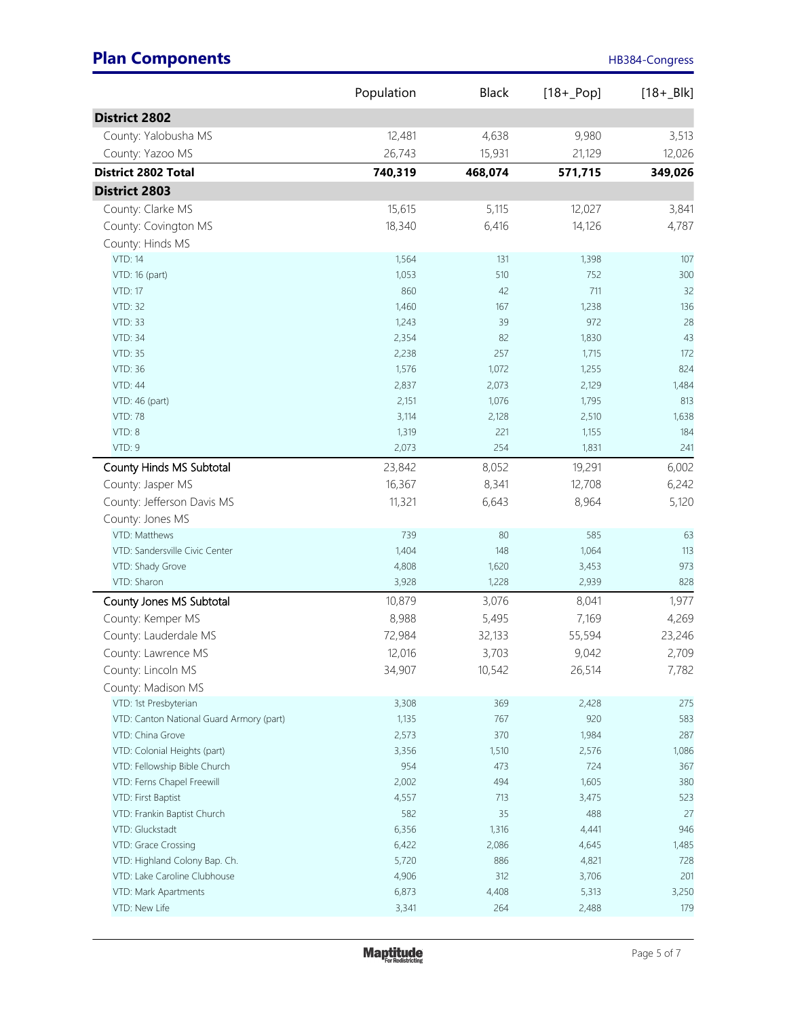|                                          | Population | <b>Black</b> | $[18 + Pop]$ | $[18 + B]$ |
|------------------------------------------|------------|--------------|--------------|------------|
| <b>District 2802</b>                     |            |              |              |            |
| County: Yalobusha MS                     | 12,481     | 4,638        | 9,980        | 3,513      |
| County: Yazoo MS                         | 26,743     | 15,931       | 21,129       | 12,026     |
| <b>District 2802 Total</b>               | 740,319    | 468,074      | 571,715      | 349,026    |
| <b>District 2803</b>                     |            |              |              |            |
|                                          |            |              |              |            |
| County: Clarke MS                        | 15,615     | 5,115        | 12,027       | 3,841      |
| County: Covington MS                     | 18,340     | 6,416        | 14,126       | 4,787      |
| County: Hinds MS                         |            |              |              |            |
| <b>VTD: 14</b>                           | 1,564      | 131          | 1,398        | 107        |
| VTD: 16 (part)                           | 1,053      | 510          | 752          | 300        |
| <b>VTD: 17</b>                           | 860        | 42           | 711          | 32         |
| <b>VTD: 32</b>                           | 1,460      | 167          | 1,238        | 136        |
| <b>VTD: 33</b>                           | 1,243      | 39           | 972          | 28         |
| <b>VTD: 34</b>                           | 2,354      | 82           | 1,830        | 43         |
| <b>VTD: 35</b>                           | 2,238      | 257          | 1,715        | 172        |
| <b>VTD: 36</b>                           | 1,576      | 1,072        | 1,255        | 824        |
| <b>VTD: 44</b>                           | 2,837      | 2,073        | 2,129        | 1,484      |
| VTD: 46 (part)                           | 2,151      | 1,076        | 1,795        | 813        |
| <b>VTD: 78</b>                           | 3,114      | 2,128        | 2,510        | 1,638      |
| VTD: 8                                   | 1,319      | 221          | 1,155        | 184        |
| VTD: 9                                   | 2,073      | 254          | 1,831        | 241        |
| County Hinds MS Subtotal                 | 23,842     | 8,052        | 19,291       | 6,002      |
| County: Jasper MS                        | 16,367     | 8,341        | 12,708       | 6,242      |
| County: Jefferson Davis MS               | 11,321     | 6,643        | 8,964        | 5,120      |
| County: Jones MS                         |            |              |              |            |
| VTD: Matthews                            | 739        | 80           | 585          | 63         |
| VTD: Sandersville Civic Center           | 1,404      | 148          | 1,064        | 113        |
| VTD: Shady Grove                         | 4,808      | 1,620        | 3,453        | 973        |
| VTD: Sharon                              | 3,928      | 1,228        | 2,939        | 828        |
| County Jones MS Subtotal                 | 10,879     | 3,076        | 8,041        | 1,977      |
| County: Kemper MS                        | 8,988      | 5,495        | 7,169        | 4,269      |
| County: Lauderdale MS                    | 72,984     | 32,133       | 55,594       | 23,246     |
| County: Lawrence MS                      | 12,016     | 3,703        | 9,042        | 2,709      |
| County: Lincoln MS                       | 34,907     | 10,542       | 26,514       | 7,782      |
| County: Madison MS                       |            |              |              |            |
| VTD: 1st Presbyterian                    | 3,308      | 369          | 2,428        | 275        |
| VTD: Canton National Guard Armory (part) | 1,135      | 767          | 920          | 583        |
| VTD: China Grove                         | 2,573      | 370          | 1,984        | 287        |
| VTD: Colonial Heights (part)             | 3,356      | 1,510        | 2,576        | 1,086      |
| VTD: Fellowship Bible Church             | 954        | 473          | 724          | 367        |
| VTD: Ferns Chapel Freewill               | 2,002      | 494          | 1,605        | 380        |
| VTD: First Baptist                       | 4,557      | 713          | 3,475        | 523        |
| VTD: Frankin Baptist Church              | 582        | 35           | 488          | 27         |
| VTD: Gluckstadt                          | 6,356      | 1,316        | 4,441        | 946        |
| VTD: Grace Crossing                      | 6,422      | 2,086        | 4,645        | 1,485      |
| VTD: Highland Colony Bap. Ch.            | 5,720      | 886          | 4,821        | 728        |
| VTD: Lake Caroline Clubhouse             | 4,906      | 312          | 3,706        | 201        |
| VTD: Mark Apartments                     | 6,873      | 4,408        | 5,313        | 3,250      |
| VTD: New Life                            | 3,341      | 264          | 2,488        | 179        |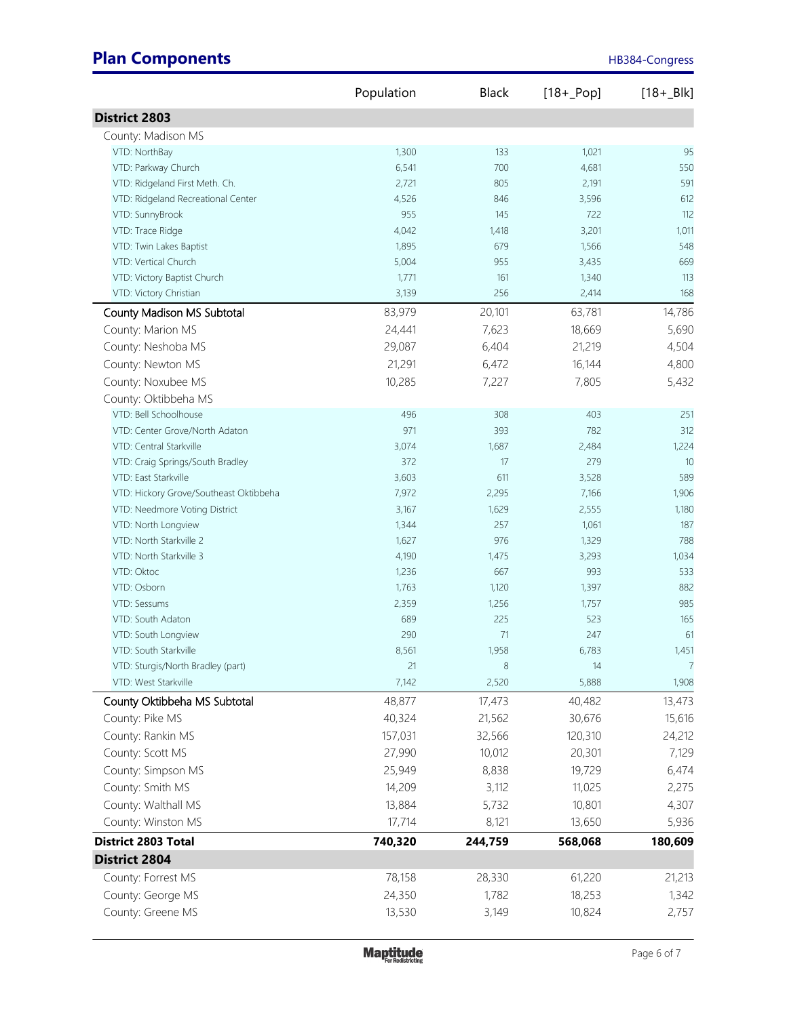|                                              | Population | <b>Black</b> | $[18 + Pop]$ | $[18 + B]$ |
|----------------------------------------------|------------|--------------|--------------|------------|
| <b>District 2803</b>                         |            |              |              |            |
| County: Madison MS                           |            |              |              |            |
| VTD: NorthBay                                | 1,300      | 133          | 1,021        | 95         |
| VTD: Parkway Church                          | 6,541      | 700          | 4,681        | 550        |
| VTD: Ridgeland First Meth. Ch.               | 2,721      | 805          | 2,191        | 591        |
| VTD: Ridgeland Recreational Center           | 4,526      | 846          | 3,596        | 612        |
| VTD: SunnyBrook                              | 955        | 145          | 722          | 112        |
| VTD: Trace Ridge                             | 4,042      | 1,418        | 3,201        | 1,011      |
| VTD: Twin Lakes Baptist                      | 1,895      | 679          | 1,566        | 548        |
| VTD: Vertical Church                         | 5,004      | 955          | 3,435        | 669        |
| VTD: Victory Baptist Church                  | 1,771      | 161          | 1,340        | 113        |
| VTD: Victory Christian                       | 3,139      | 256          | 2,414        | 168        |
| County Madison MS Subtotal                   | 83,979     | 20,101       | 63,781       | 14,786     |
| County: Marion MS                            | 24,441     | 7,623        | 18,669       | 5,690      |
| County: Neshoba MS                           | 29,087     | 6,404        | 21,219       | 4,504      |
| County: Newton MS                            | 21,291     | 6,472        | 16,144       | 4,800      |
| County: Noxubee MS                           | 10,285     | 7,227        | 7,805        | 5,432      |
| County: Oktibbeha MS                         |            |              |              |            |
| VTD: Bell Schoolhouse                        | 496        | 308          | 403          | 251        |
| VTD: Center Grove/North Adaton               | 971        | 393          | 782          | 312        |
| VTD: Central Starkville                      | 3,074      | 1,687        | 2,484        | 1,224      |
| VTD: Craig Springs/South Bradley             | 372        | 17           | 279          | 10         |
| VTD: East Starkville                         | 3,603      | 611          | 3,528        | 589        |
| VTD: Hickory Grove/Southeast Oktibbeha       | 7,972      | 2,295        | 7,166        | 1,906      |
| VTD: Needmore Voting District                | 3,167      | 1,629        | 2,555        | 1,180      |
| VTD: North Longview                          | 1,344      | 257          | 1,061        | 187        |
| VTD: North Starkville 2                      | 1,627      | 976          | 1,329        | 788        |
| VTD: North Starkville 3                      | 4,190      | 1,475        | 3,293        | 1,034      |
| VTD: Oktoc                                   | 1,236      | 667          | 993          | 533        |
| VTD: Osborn                                  | 1,763      | 1,120        | 1,397        | 882        |
| VTD: Sessums                                 | 2,359      | 1,256        | 1,757        | 985        |
| VTD: South Adaton                            | 689<br>290 | 225<br>71    | 523<br>247   | 165<br>61  |
| VTD: South Longview<br>VTD: South Starkville | 8,561      | 1,958        | 6,783        | 1,451      |
| VTD: Sturgis/North Bradley (part)            | 21         | $\,8\,$      | 14           | 7          |
| VTD: West Starkville                         | 7,142      | 2,520        | 5,888        | 1,908      |
| County Oktibbeha MS Subtotal                 | 48,877     | 17,473       | 40,482       | 13,473     |
| County: Pike MS                              | 40,324     | 21,562       | 30,676       | 15,616     |
| County: Rankin MS                            | 157,031    | 32,566       | 120,310      | 24,212     |
| County: Scott MS                             | 27,990     | 10,012       | 20,301       | 7,129      |
| County: Simpson MS                           | 25,949     |              | 19,729       |            |
|                                              |            | 8,838        |              | 6,474      |
| County: Smith MS                             | 14,209     | 3,112        | 11,025       | 2,275      |
| County: Walthall MS                          | 13,884     | 5,732        | 10,801       | 4,307      |
| County: Winston MS                           | 17,714     | 8,121        | 13,650       | 5,936      |
| <b>District 2803 Total</b>                   | 740,320    | 244,759      | 568,068      | 180,609    |
| <b>District 2804</b>                         |            |              |              |            |
| County: Forrest MS                           | 78,158     | 28,330       | 61,220       | 21,213     |
| County: George MS                            | 24,350     | 1,782        | 18,253       | 1,342      |
| County: Greene MS                            | 13,530     | 3,149        | 10,824       | 2,757      |